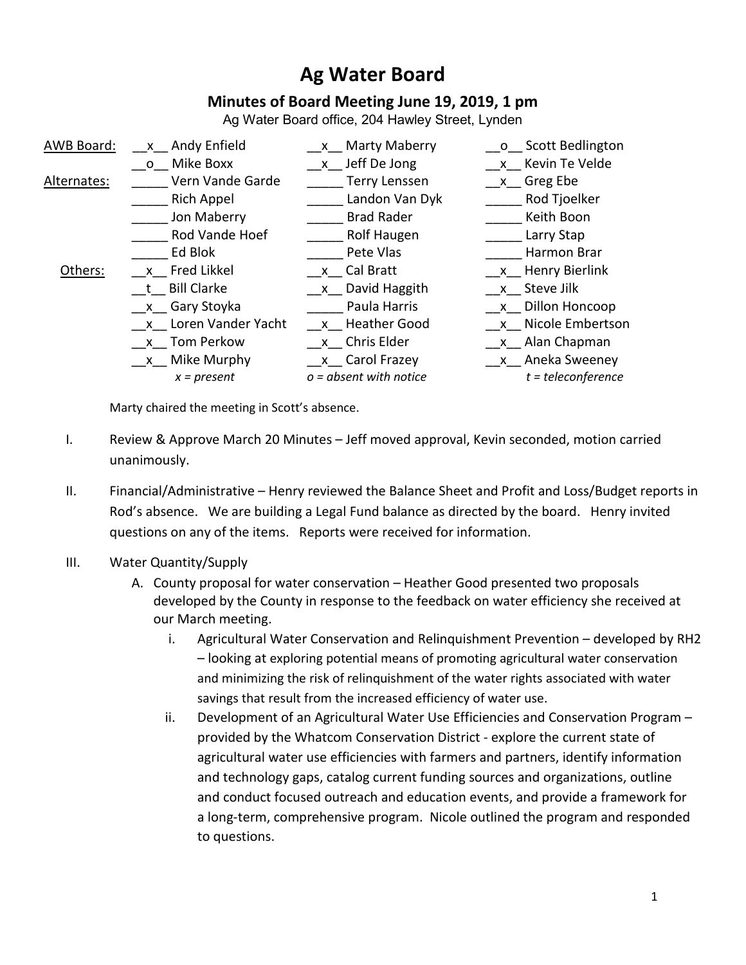# **Ag Water Board**

# **Minutes of Board Meeting June 19, 2019, 1 pm**

Ag Water Board office, 204 Hawley Street, Lynden

| AWB Board:  | x Andy Enfield       | Marty Maberry<br>$\mathsf{X}$ | o Scott Bedlington   |
|-------------|----------------------|-------------------------------|----------------------|
|             | o Mike Boxx          | x Jeff De Jong                | x Kevin Te Velde     |
| Alternates: | Vern Vande Garde     | <b>Terry Lenssen</b>          | x Greg Ebe           |
|             | <b>Rich Appel</b>    | Landon Van Dyk                | Rod Tjoelker         |
|             | Jon Maberry          | <b>Brad Rader</b>             | Keith Boon           |
|             | Rod Vande Hoef       | Rolf Haugen                   | Larry Stap           |
|             | Ed Blok              | Pete Vlas                     | Harmon Brar          |
| Others:     | x Fred Likkel        | x Cal Bratt                   | x Henry Bierlink     |
|             | <b>Bill Clarke</b>   | x David Haggith               | x Steve Jilk         |
|             | x Gary Stoyka        | Paula Harris                  | x Dillon Honcoop     |
|             | x Loren Vander Yacht | x Heather Good                | x Nicole Embertson   |
|             | x Tom Perkow         | x Chris Elder                 | x Alan Chapman       |
|             | x Mike Murphy        | x Carol Frazey                | x Aneka Sweeney      |
|             | $x = present$        | $o = absent$ with notice      | $t = teleconference$ |
|             |                      |                               |                      |

Marty chaired the meeting in Scott's absence.

- I. Review & Approve March 20 Minutes Jeff moved approval, Kevin seconded, motion carried unanimously.
- II. Financial/Administrative Henry reviewed the Balance Sheet and Profit and Loss/Budget reports in Rod's absence. We are building a Legal Fund balance as directed by the board. Henry invited questions on any of the items. Reports were received for information.
- III. Water Quantity/Supply
	- A. County proposal for water conservation Heather Good presented two proposals developed by the County in response to the feedback on water efficiency she received at our March meeting.
		- i. Agricultural Water Conservation and Relinquishment Prevention developed by RH2 – looking at exploring potential means of promoting agricultural water conservation and minimizing the risk of relinquishment of the water rights associated with water savings that result from the increased efficiency of water use.
		- ii. Development of an Agricultural Water Use Efficiencies and Conservation Program provided by the Whatcom Conservation District - explore the current state of agricultural water use efficiencies with farmers and partners, identify information and technology gaps, catalog current funding sources and organizations, outline and conduct focused outreach and education events, and provide a framework for a long-term, comprehensive program. Nicole outlined the program and responded to questions.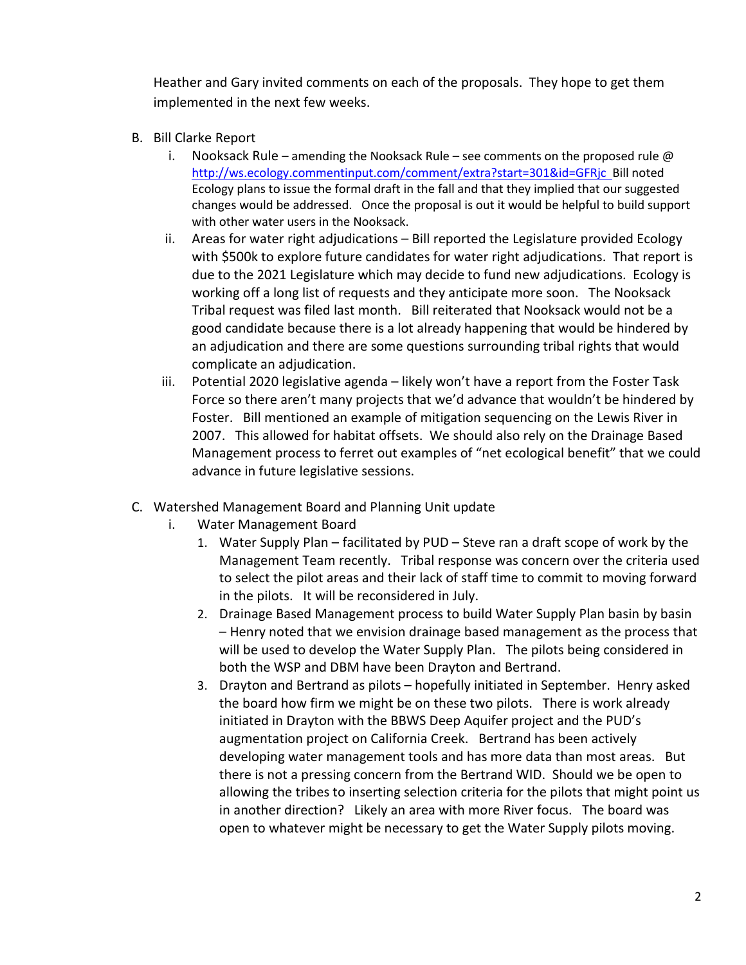Heather and Gary invited comments on each of the proposals. They hope to get them implemented in the next few weeks.

- B. Bill Clarke Report
	- i. Nooksack Rule amending the Nooksack Rule see comments on the proposed rule  $\omega$ <http://ws.ecology.commentinput.com/comment/extra?start=301&id=GFRjc>Bill noted Ecology plans to issue the formal draft in the fall and that they implied that our suggested changes would be addressed. Once the proposal is out it would be helpful to build support with other water users in the Nooksack.
	- ii. Areas for water right adjudications Bill reported the Legislature provided Ecology with \$500k to explore future candidates for water right adjudications. That report is due to the 2021 Legislature which may decide to fund new adjudications. Ecology is working off a long list of requests and they anticipate more soon. The Nooksack Tribal request was filed last month. Bill reiterated that Nooksack would not be a good candidate because there is a lot already happening that would be hindered by an adjudication and there are some questions surrounding tribal rights that would complicate an adjudication.
	- iii. Potential 2020 legislative agenda likely won't have a report from the Foster Task Force so there aren't many projects that we'd advance that wouldn't be hindered by Foster. Bill mentioned an example of mitigation sequencing on the Lewis River in 2007. This allowed for habitat offsets. We should also rely on the Drainage Based Management process to ferret out examples of "net ecological benefit" that we could advance in future legislative sessions.
- C. Watershed Management Board and Planning Unit update
	- i. Water Management Board
		- 1. Water Supply Plan facilitated by PUD Steve ran a draft scope of work by the Management Team recently. Tribal response was concern over the criteria used to select the pilot areas and their lack of staff time to commit to moving forward in the pilots. It will be reconsidered in July.
		- 2. Drainage Based Management process to build Water Supply Plan basin by basin – Henry noted that we envision drainage based management as the process that will be used to develop the Water Supply Plan. The pilots being considered in both the WSP and DBM have been Drayton and Bertrand.
		- 3. Drayton and Bertrand as pilots hopefully initiated in September. Henry asked the board how firm we might be on these two pilots. There is work already initiated in Drayton with the BBWS Deep Aquifer project and the PUD's augmentation project on California Creek. Bertrand has been actively developing water management tools and has more data than most areas. But there is not a pressing concern from the Bertrand WID. Should we be open to allowing the tribes to inserting selection criteria for the pilots that might point us in another direction? Likely an area with more River focus. The board was open to whatever might be necessary to get the Water Supply pilots moving.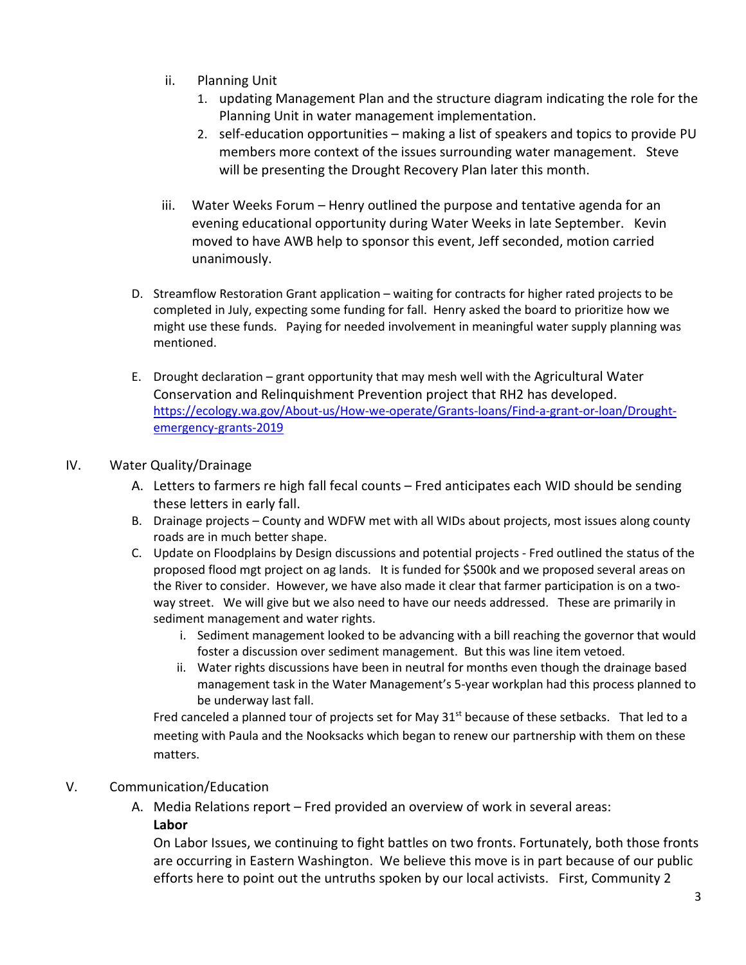- ii. Planning Unit
	- 1. updating Management Plan and the structure diagram indicating the role for the Planning Unit in water management implementation.
	- 2. self-education opportunities making a list of speakers and topics to provide PU members more context of the issues surrounding water management. Steve will be presenting the Drought Recovery Plan later this month.
- iii. Water Weeks Forum Henry outlined the purpose and tentative agenda for an evening educational opportunity during Water Weeks in late September. Kevin moved to have AWB help to sponsor this event, Jeff seconded, motion carried unanimously.
- D. Streamflow Restoration Grant application waiting for contracts for higher rated projects to be completed in July, expecting some funding for fall. Henry asked the board to prioritize how we might use these funds. Paying for needed involvement in meaningful water supply planning was mentioned.
- E. Drought declaration grant opportunity that may mesh well with the Agricultural Water Conservation and Relinquishment Prevention project that RH2 has developed. [https://ecology.wa.gov/About-us/How-we-operate/Grants-loans/Find-a-grant-or-loan/Drought](https://ecology.wa.gov/About-us/How-we-operate/Grants-loans/Find-a-grant-or-loan/Drought-emergency-grants-2019)[emergency-grants-2019](https://ecology.wa.gov/About-us/How-we-operate/Grants-loans/Find-a-grant-or-loan/Drought-emergency-grants-2019)

# IV. Water Quality/Drainage

- A. Letters to farmers re high fall fecal counts Fred anticipates each WID should be sending these letters in early fall.
- B. Drainage projects County and WDFW met with all WIDs about projects, most issues along county roads are in much better shape.
- C. Update on Floodplains by Design discussions and potential projects Fred outlined the status of the proposed flood mgt project on ag lands. It is funded for \$500k and we proposed several areas on the River to consider. However, we have also made it clear that farmer participation is on a twoway street. We will give but we also need to have our needs addressed. These are primarily in sediment management and water rights.
	- i. Sediment management looked to be advancing with a bill reaching the governor that would foster a discussion over sediment management. But this was line item vetoed.
	- ii. Water rights discussions have been in neutral for months even though the drainage based management task in the Water Management's 5-year workplan had this process planned to be underway last fall.

Fred canceled a planned tour of projects set for May  $31<sup>st</sup>$  because of these setbacks. That led to a meeting with Paula and the Nooksacks which began to renew our partnership with them on these matters.

#### V. Communication/Education

A. Media Relations report – Fred provided an overview of work in several areas:

#### **Labor**

On Labor Issues, we continuing to fight battles on two fronts. Fortunately, both those fronts are occurring in Eastern Washington. We believe this move is in part because of our public efforts here to point out the untruths spoken by our local activists. First, Community 2